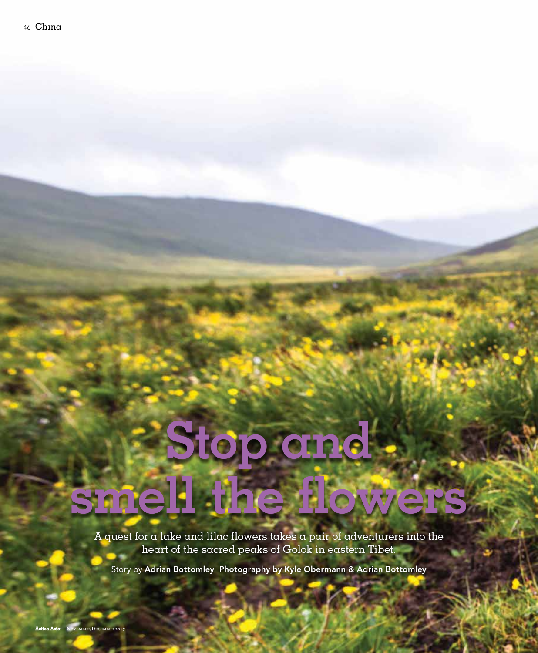# Stop and<sup>1</sup> **smell the flowers**

A quest for a lake and lilac flowers takes a pair of adventurers into the heart of the sacred peaks of Golok in eastern Tibet.

Story by Adrian Bottomley Photography by Kyle Obermann & Adrian Bottomley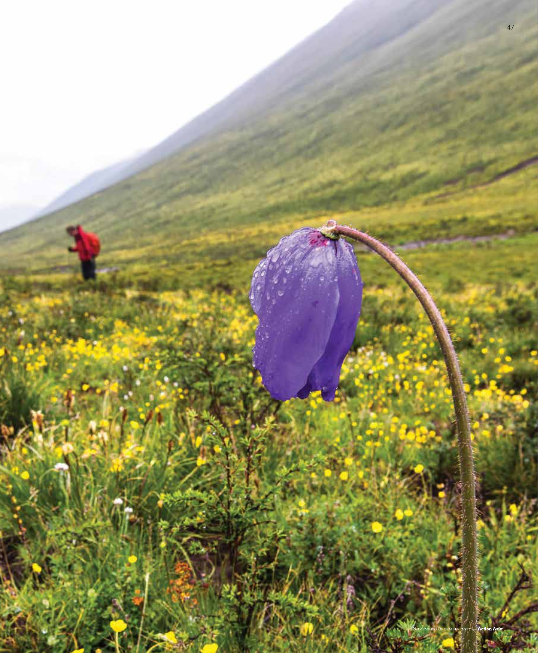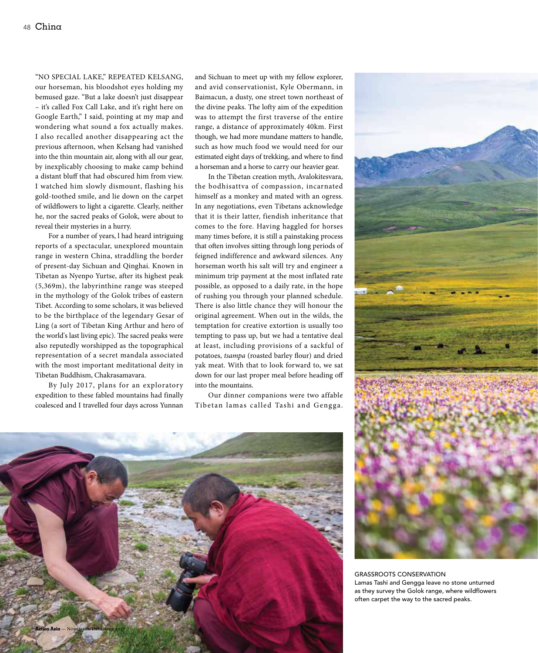"NO SPECIAL LAKE," REPEATED KELSANG, our horseman, his bloodshot eyes holding my bemused gaze. "But a lake doesn't just disappear – it's called Fox Call Lake, and it's right here on Google Earth," I said, pointing at my map and wondering what sound a fox actually makes. I also recalled another disappearing act the previous afternoon, when Kelsang had vanished into the thin mountain air, along with all our gear, by inexplicably choosing to make camp behind a distant bluff that had obscured him from view. I watched him slowly dismount, flashing his gold-toothed smile, and lie down on the carpet of wildflowers to light a cigarette. Clearly, neither he, nor the sacred peaks of Golok, were about to reveal their mysteries in a hurry.

For a number of years, l had heard intriguing reports of a spectacular, unexplored mountain range in western China, straddling the border of present-day Sichuan and Qinghai. Known in Tibetan as Nyenpo Yurtse, after its highest peak (5,369m), the labyrinthine range was steeped in the mythology of the Golok tribes of eastern Tibet. According to some scholars, it was believed to be the birthplace of the legendary Gesar of Ling (a sort of Tibetan King Arthur and hero of the world's last living epic). The sacred peaks were also reputedly worshipped as the topographical representation of a secret mandala associated with the most important meditational deity in Tibetan Buddhism, Chakrasamavara.

By July 2017, plans for an exploratory expedition to these fabled mountains had finally coalesced and I travelled four days across Yunnan

and Sichuan to meet up with my fellow explorer, and avid conservationist, Kyle Obermann, in Baimacun, a dusty, one street town northeast of the divine peaks. The lofty aim of the expedition was to attempt the first traverse of the entire range, a distance of approximately 40km. First though, we had more mundane matters to handle, such as how much food we would need for our estimated eight days of trekking, and where to find a horseman and a horse to carry our heavier gear.

In the Tibetan creation myth, Avalokitesvara, the bodhisattva of compassion, incarnated himself as a monkey and mated with an ogress. In any negotiations, even Tibetans acknowledge that it is their latter, fiendish inheritance that comes to the fore. Having haggled for horses many times before, it is still a painstaking process that often involves sitting through long periods of feigned indifference and awkward silences. Any horseman worth his salt will try and engineer a minimum trip payment at the most inflated rate possible, as opposed to a daily rate, in the hope of rushing you through your planned schedule. There is also little chance they will honour the original agreement. When out in the wilds, the temptation for creative extortion is usually too tempting to pass up, but we had a tentative deal at least, including provisions of a sackful of potatoes, *tsampa* (roasted barley flour) and dried yak meat. With that to look forward to, we sat down for our last proper meal before heading off into the mountains.

Our dinner companions were two affable Tibetan lamas called Tashi and Gengga.





GRASSROOTS CONSERVATION Lamas Tashi and Gengga leave no stone unturned as they survey the Golok range, where wildflowers often carpet the way to the sacred peaks.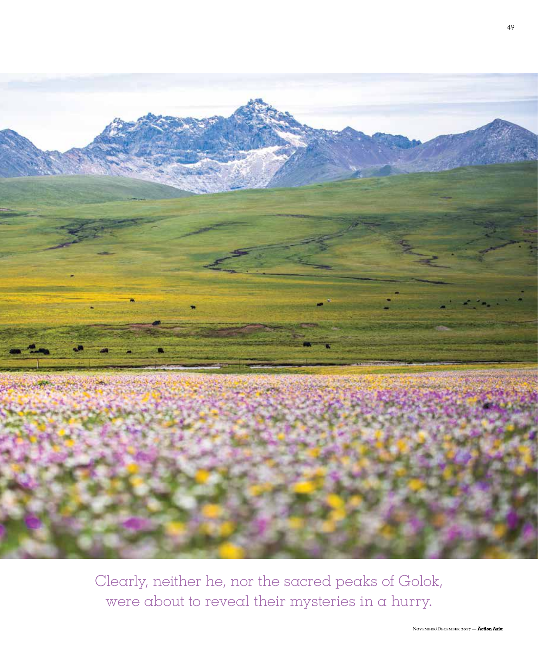

Clearly, neither he, nor the sacred peaks of Golok, were about to reveal their mysteries in a hurry.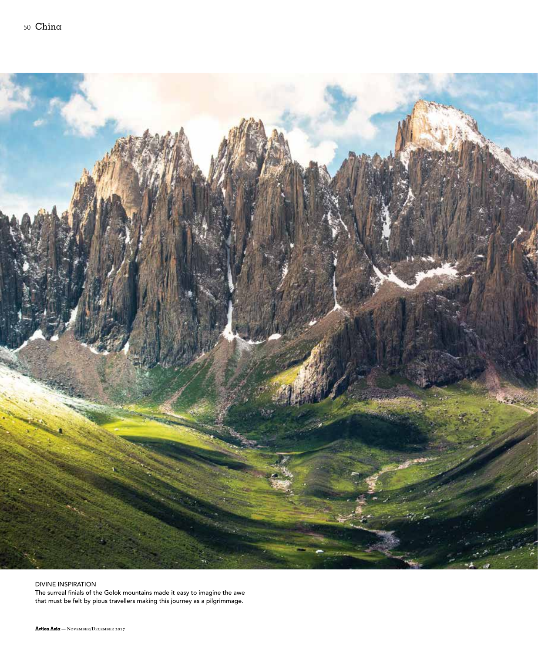

DIVINE INSPIRATION The surreal finials of the Golok mountains made it easy to imagine the awe that must be felt by pious travellers making this journey as a pilgrimmage.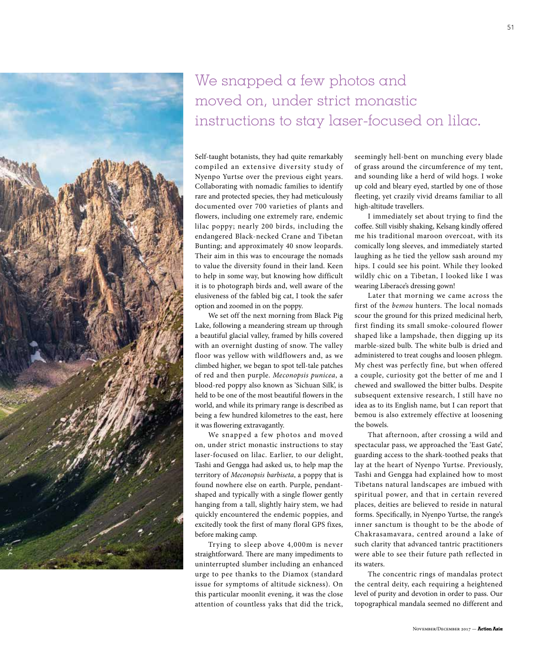

## We snapped a few photos and moved on, under strict monastic instructions to stay laser-focused on lilac.

Self-taught botanists, they had quite remarkably compiled an extensive diversity study of Nyenpo Yurtse over the previous eight years. Collaborating with nomadic families to identify rare and protected species, they had meticulously documented over 700 varieties of plants and flowers, including one extremely rare, endemic lilac poppy; nearly 200 birds, including the endangered Black-necked Crane and Tibetan Bunting; and approximately 40 snow leopards. Their aim in this was to encourage the nomads to value the diversity found in their land. Keen to help in some way, but knowing how difficult it is to photograph birds and, well aware of the elusiveness of the fabled big cat, I took the safer option and zoomed in on the poppy.

We set off the next morning from Black Pig Lake, following a meandering stream up through a beautiful glacial valley, framed by hills covered with an overnight dusting of snow. The valley floor was yellow with wildflowers and, as we climbed higher, we began to spot tell-tale patches of red and then purple. *Meconopsis punicea*, a blood-red poppy also known as 'Sichuan Silk', is held to be one of the most beautiful flowers in the world, and while its primary range is described as being a few hundred kilometres to the east, here it was flowering extravagantly.

We snapped a few photos and moved on, under strict monastic instructions to stay laser-focused on lilac. Earlier, to our delight, Tashi and Gengga had asked us, to help map the territory of *Meconopsis barbiseta*, a poppy that is found nowhere else on earth. Purple, pendantshaped and typically with a single flower gently hanging from a tall, slightly hairy stem, we had quickly encountered the endemic poppies, and excitedly took the first of many floral GPS fixes, before making camp.

Trying to sleep above 4,000m is never straightforward. There are many impediments to uninterrupted slumber including an enhanced urge to pee thanks to the Diamox (standard issue for symptoms of altitude sickness). On this particular moonlit evening, it was the close attention of countless yaks that did the trick, seemingly hell-bent on munching every blade of grass around the circumference of my tent, and sounding like a herd of wild hogs. I woke up cold and bleary eyed, startled by one of those fleeting, yet crazily vivid dreams familiar to all high-altitude travellers.

I immediately set about trying to find the coffee. Still visibly shaking, Kelsang kindly offered me his traditional maroon overcoat, with its comically long sleeves, and immediately started laughing as he tied the yellow sash around my hips. I could see his point. While they looked wildly chic on a Tibetan, I looked like I was wearing Liberace's dressing gown!

Later that morning we came across the first of the *bemou* hunters. The local nomads scour the ground for this prized medicinal herb, first finding its small smoke-coloured flower shaped like a lampshade, then digging up its marble-sized bulb. The white bulb is dried and administered to treat coughs and loosen phlegm. My chest was perfectly fine, but when offered a couple, curiosity got the better of me and I chewed and swallowed the bitter bulbs. Despite subsequent extensive research, I still have no idea as to its English name, but I can report that bemou is also extremely effective at loosening the bowels.

That afternoon, after crossing a wild and spectacular pass, we approached the 'East Gate', guarding access to the shark-toothed peaks that lay at the heart of Nyenpo Yurtse. Previously, Tashi and Gengga had explained how to most Tibetans natural landscapes are imbued with spiritual power, and that in certain revered places, deities are believed to reside in natural forms. Specifically, in Nyenpo Yurtse, the range's inner sanctum is thought to be the abode of Chakrasamavara, centred around a lake of such clarity that advanced tantric practitioners were able to see their future path reflected in its waters.

The concentric rings of mandalas protect the central deity, each requiring a heightened level of purity and devotion in order to pass. Our topographical mandala seemed no different and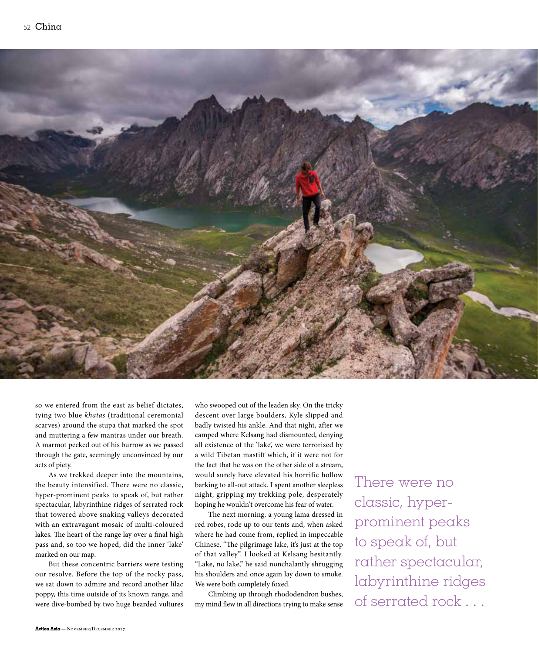

so we entered from the east as belief dictates, tying two blue *khatas* (traditional ceremonial scarves) around the stupa that marked the spot and muttering a few mantras under our breath. A marmot peeked out of his burrow as we passed through the gate, seemingly unconvinced by our acts of piety.

As we trekked deeper into the mountains, the beauty intensified. There were no classic, hyper-prominent peaks to speak of, but rather spectacular, labyrinthine ridges of serrated rock that towered above snaking valleys decorated with an extravagant mosaic of multi-coloured lakes. The heart of the range lay over a final high pass and, so too we hoped, did the inner 'lake' marked on our map.

But these concentric barriers were testing our resolve. Before the top of the rocky pass, we sat down to admire and record another lilac poppy, this time outside of its known range, and were dive-bombed by two huge bearded vultures

who swooped out of the leaden sky. On the tricky descent over large boulders, Kyle slipped and badly twisted his ankle. And that night, after we camped where Kelsang had dismounted, denying all existence of the 'lake', we were terrorised by a wild Tibetan mastiff which, if it were not for the fact that he was on the other side of a stream, would surely have elevated his horrific hollow barking to all-out attack. I spent another sleepless night, gripping my trekking pole, desperately hoping he wouldn't overcome his fear of water.

The next morning, a young lama dressed in red robes, rode up to our tents and, when asked where he had come from, replied in impeccable Chinese, "The pilgrimage lake, it's just at the top of that valley". I looked at Kelsang hesitantly. "Lake, no lake," he said nonchalantly shrugging his shoulders and once again lay down to smoke. We were both completely foxed.

Climbing up through rhododendron bushes, my mind flew in all directions trying to make sense

There were no classic, hyperprominent peaks to speak of, but rather spectacular, labyrinthine ridges of serrated rock . . .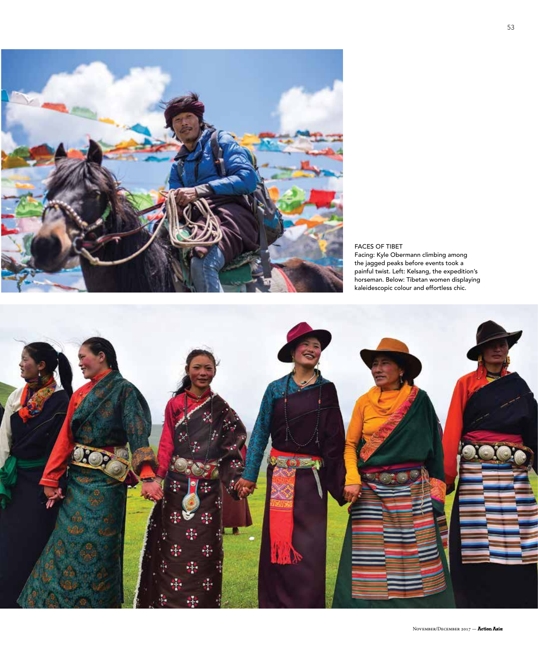

#### FACES OF TIBET

Facing: Kyle Obermann climbing among the jagged peaks before events took a painful twist. Left: Kelsang, the expedition's horseman. Below: Tibetan women displaying kaleidescopic colour and effortless chic.

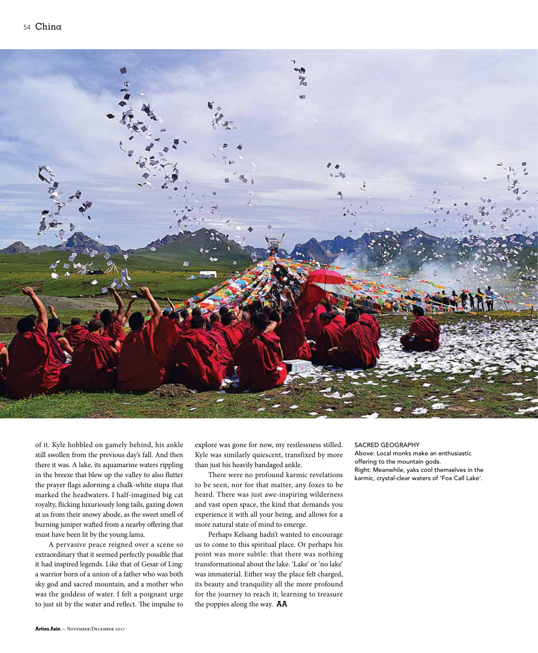

of it. Kyle hobbled on gamely behind, his ankle still swollen from the previous day's fall. And then there it was. A lake, its aquamarine waters rippling in the breeze that blew up the valley to also flutter the prayer flags adorning a chalk-white stupa that marked the headwaters. I half-imagined big cat royalty, flicking luxuriously long tails, gazing down at us from their snowy abode, as the sweet smell of burning juniper wafted from a nearby offering that must have been lit by the young lama.

A pervasive peace reigned over a scene so extraordinary that it seemed perfectly possible that it had inspired legends. Like that of Gesar of Ling: a warrior born of a union of a father who was both sky god and sacred mountain, and a mother who was the goddess of water. I felt a poignant urge to just sit by the water and reflect. The impulse to

explore was gone for now, my restlessness stilled. Kyle was similarly quiescent, transfixed by more than just his heavily bandaged ankle.

There were no profound karmic revelations to be seen, nor for that matter, any foxes to be heard. There was just awe-inspiring wilderness and vast open space, the kind that demands you experience it with all your being, and allows for a more natural state of mind to emerge.

Perhaps Kelsang hadn't wanted to encourage us to come to this spiritual place. Or perhaps his point was more subtle: that there was nothing transformational about the lake. 'Lake' or 'no lake' was immaterial. Either way the place felt charged, its beauty and tranquility all the more profound for the journey to reach it; learning to treasure the poppies along the way. **AA**

#### SACRED GEOGRAPHY

Above: Local monks make an enthusiastic offering to the mountain gods. Right: Meanwhile, yaks cool themselves in the karmic, crystal-clear waters of 'Fox Call Lake'.